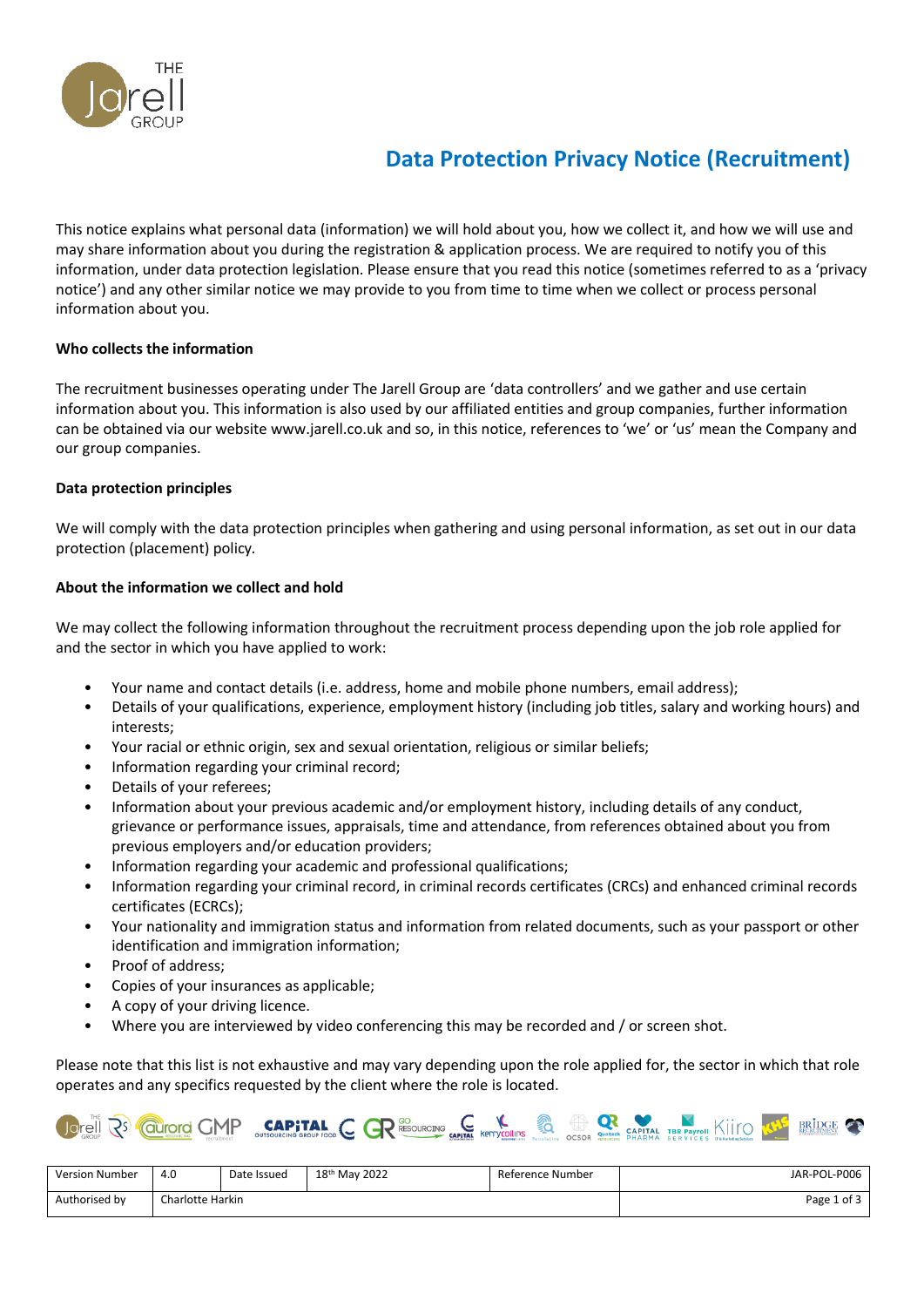

# **Data Protection Privacy Notice (Recruitment)**

This notice explains what personal data (information) we will hold about you, how we collect it, and how we will use and may share information about you during the registration & application process. We are required to notify you of this information, under data protection legislation. Please ensure that you read this notice (sometimes referred to as a 'privacy notice') and any other similar notice we may provide to you from time to time when we collect or process personal information about you.

## **Who collects the information**

The recruitment businesses operating under The Jarell Group are 'data controllers' and we gather and use certain information about you. This information is also used by our affiliated entities and group companies, further information can be obtained via our website www.jarell.co.uk and so, in this notice, references to 'we' or 'us' mean the Company and our group companies.

## **Data protection principles**

We will comply with the data protection principles when gathering and using personal information, as set out in our data protection (placement) policy*.*

## **About the information we collect and hold**

We may collect the following information throughout the recruitment process depending upon the job role applied for and the sector in which you have applied to work:

- Your name and contact details (i.e. address, home and mobile phone numbers, email address);
- Details of your qualifications, experience, employment history (including job titles, salary and working hours) and interests;
- Your racial or ethnic origin, sex and sexual orientation, religious or similar beliefs;
- Information regarding your criminal record;
- Details of your referees;
- Information about your previous academic and/or employment history, including details of any conduct, grievance or performance issues, appraisals, time and attendance, from references obtained about you from previous employers and/or education providers;
- Information regarding your academic and professional qualifications;
- Information regarding your criminal record, in criminal records certificates (CRCs) and enhanced criminal records certificates (ECRCs);
- Your nationality and immigration status and information from related documents, such as your passport or other identification and immigration information;
- Proof of address;
- Copies of your insurances as applicable;
- A copy of your driving licence.
- Where you are interviewed by video conferencing this may be recorded and / or screen shot.

Please note that this list is not exhaustive and may vary depending upon the role applied for, the sector in which that role operates and any specifics requested by the client where the role is located.



| <b>Version Number</b> | 4.C<br>$\sim$           | Date Issued | 18 <sup>th</sup> May 2022 | Reference Number | JAR-POL-P006 |
|-----------------------|-------------------------|-------------|---------------------------|------------------|--------------|
| Authorised by         | <b>Charlotte Harkin</b> |             |                           | r of 3<br>Page 1 |              |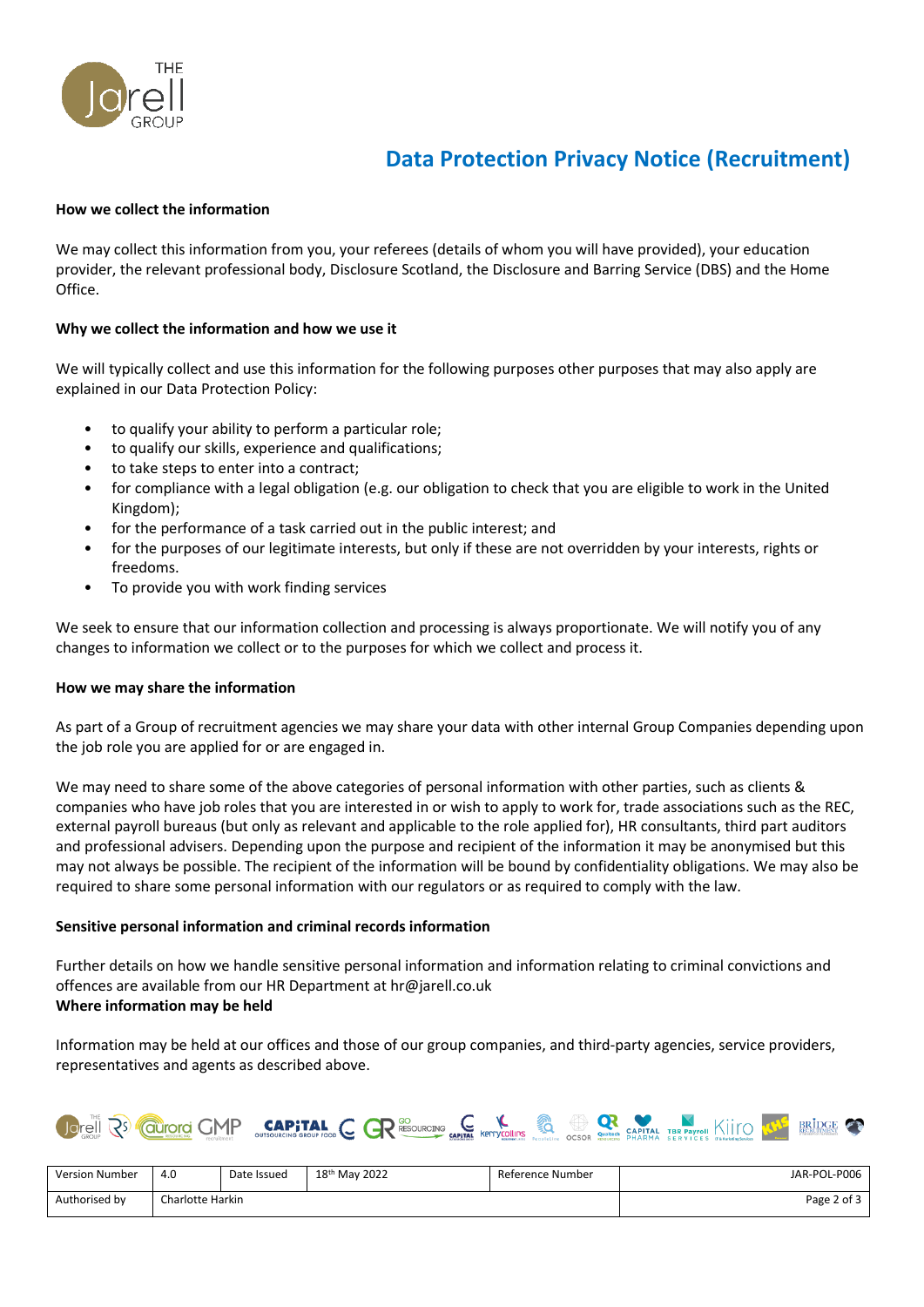

## **Data Protection Privacy Notice (Recruitment)**

## **How we collect the information**

We may collect this information from you, your referees (details of whom you will have provided), your education provider, the relevant professional body, Disclosure Scotland, the Disclosure and Barring Service (DBS) and the Home Office.

## **Why we collect the information and how we use it**

We will typically collect and use this information for the following purposes other purposes that may also apply are explained in our Data Protection Policy:

- to qualify your ability to perform a particular role;
- to qualify our skills, experience and qualifications;
- to take steps to enter into a contract;
- for compliance with a legal obligation (e.g. our obligation to check that you are eligible to work in the United Kingdom);
- for the performance of a task carried out in the public interest; and
- for the purposes of our legitimate interests, but only if these are not overridden by your interests, rights or freedoms.
- To provide you with work finding services

We seek to ensure that our information collection and processing is always proportionate. We will notify you of any changes to information we collect or to the purposes for which we collect and process it.

### **How we may share the information**

As part of a Group of recruitment agencies we may share your data with other internal Group Companies depending upon the job role you are applied for or are engaged in.

We may need to share some of the above categories of personal information with other parties, such as clients & companies who have job roles that you are interested in or wish to apply to work for, trade associations such as the REC, external payroll bureaus (but only as relevant and applicable to the role applied for), HR consultants, third part auditors and professional advisers. Depending upon the purpose and recipient of the information it may be anonymised but this may not always be possible. The recipient of the information will be bound by confidentiality obligations. We may also be required to share some personal information with our regulators or as required to comply with the law.

### **Sensitive personal information and criminal records information**

Further details on how we handle sensitive personal information and information relating to criminal convictions and offences are available from our HR Department at hr@jarell.co.uk **Where information may be held**

Information may be held at our offices and those of our group companies, and third-party agencies, service providers, representatives and agents as described above.



| Version Number | 4.0              | Date Issued | 18 <sup>th</sup> May 2022 | Reference Number | JAR-POL-P006 |
|----------------|------------------|-------------|---------------------------|------------------|--------------|
| Authorised by  | Charlotte Harkin |             |                           | Page 2 of 3      |              |